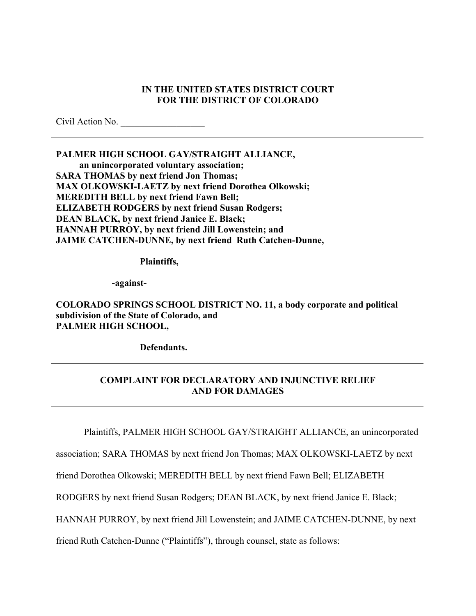#### **IN THE UNITED STATES DISTRICT COURT FOR THE DISTRICT OF COLORADO**

Civil Action No.

**PALMER HIGH SCHOOL GAY/STRAIGHT ALLIANCE, an unincorporated voluntary association; SARA THOMAS by next friend Jon Thomas; MAX OLKOWSKI-LAETZ by next friend Dorothea Olkowski; MEREDITH BELL by next friend Fawn Bell; ELIZABETH RODGERS by next friend Susan Rodgers; DEAN BLACK, by next friend Janice E. Black; HANNAH PURROY, by next friend Jill Lowenstein; and JAIME CATCHEN-DUNNE, by next friend Ruth Catchen-Dunne,** 

**Plaintiffs,** 

**-against-**

**COLORADO SPRINGS SCHOOL DISTRICT NO. 11, a body corporate and political subdivision of the State of Colorado, and PALMER HIGH SCHOOL,** 

**Defendants.** 

### **COMPLAINT FOR DECLARATORY AND INJUNCTIVE RELIEF AND FOR DAMAGES**

Plaintiffs, PALMER HIGH SCHOOL GAY/STRAIGHT ALLIANCE, an unincorporated

association; SARA THOMAS by next friend Jon Thomas; MAX OLKOWSKI-LAETZ by next

friend Dorothea Olkowski; MEREDITH BELL by next friend Fawn Bell; ELIZABETH

RODGERS by next friend Susan Rodgers; DEAN BLACK, by next friend Janice E. Black;

HANNAH PURROY, by next friend Jill Lowenstein; and JAIME CATCHEN-DUNNE, by next

friend Ruth Catchen-Dunne ("Plaintiffs"), through counsel, state as follows: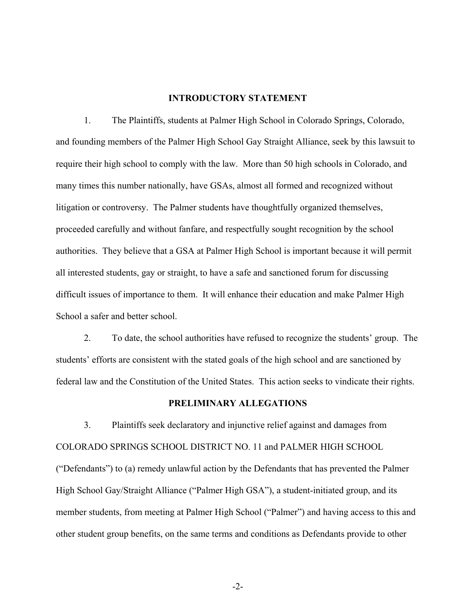#### **INTRODUCTORY STATEMENT**

1. The Plaintiffs, students at Palmer High School in Colorado Springs, Colorado, and founding members of the Palmer High School Gay Straight Alliance, seek by this lawsuit to require their high school to comply with the law. More than 50 high schools in Colorado, and many times this number nationally, have GSAs, almost all formed and recognized without litigation or controversy. The Palmer students have thoughtfully organized themselves, proceeded carefully and without fanfare, and respectfully sought recognition by the school authorities. They believe that a GSA at Palmer High School is important because it will permit all interested students, gay or straight, to have a safe and sanctioned forum for discussing difficult issues of importance to them. It will enhance their education and make Palmer High School a safer and better school.

2. To date, the school authorities have refused to recognize the students' group. The students' efforts are consistent with the stated goals of the high school and are sanctioned by federal law and the Constitution of the United States. This action seeks to vindicate their rights.

#### **PRELIMINARY ALLEGATIONS**

3. Plaintiffs seek declaratory and injunctive relief against and damages from COLORADO SPRINGS SCHOOL DISTRICT NO. 11 and PALMER HIGH SCHOOL ("Defendants") to (a) remedy unlawful action by the Defendants that has prevented the Palmer High School Gay/Straight Alliance ("Palmer High GSA"), a student-initiated group, and its member students, from meeting at Palmer High School ("Palmer") and having access to this and other student group benefits, on the same terms and conditions as Defendants provide to other

-2-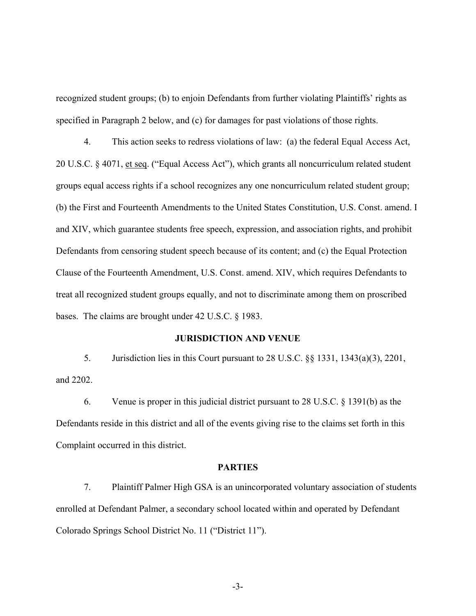recognized student groups; (b) to enjoin Defendants from further violating Plaintiffs' rights as specified in Paragraph 2 below, and (c) for damages for past violations of those rights.

4. This action seeks to redress violations of law: (a) the federal Equal Access Act, 20 U.S.C. § 4071, et seq. ("Equal Access Act"), which grants all noncurriculum related student groups equal access rights if a school recognizes any one noncurriculum related student group; (b) the First and Fourteenth Amendments to the United States Constitution, U.S. Const. amend. I and XIV, which guarantee students free speech, expression, and association rights, and prohibit Defendants from censoring student speech because of its content; and (c) the Equal Protection Clause of the Fourteenth Amendment, U.S. Const. amend. XIV, which requires Defendants to treat all recognized student groups equally, and not to discriminate among them on proscribed bases. The claims are brought under 42 U.S.C. § 1983.

#### **JURISDICTION AND VENUE**

5. Jurisdiction lies in this Court pursuant to 28 U.S.C. §§ 1331, 1343(a)(3), 2201, and 2202.

6. Venue is proper in this judicial district pursuant to 28 U.S.C. § 1391(b) as the Defendants reside in this district and all of the events giving rise to the claims set forth in this Complaint occurred in this district.

#### **PARTIES**

7. Plaintiff Palmer High GSA is an unincorporated voluntary association of students enrolled at Defendant Palmer, a secondary school located within and operated by Defendant Colorado Springs School District No. 11 ("District 11").

-3-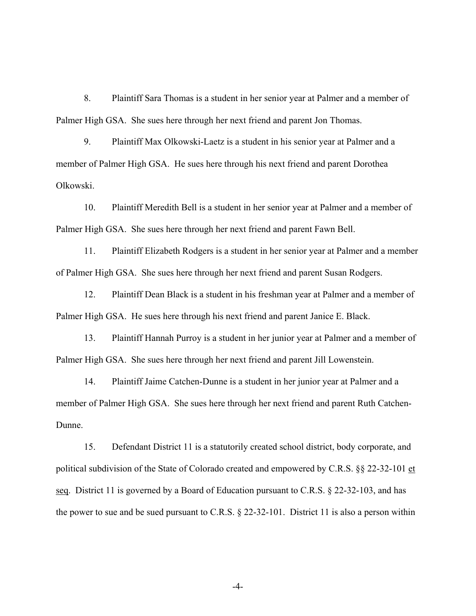8. Plaintiff Sara Thomas is a student in her senior year at Palmer and a member of Palmer High GSA. She sues here through her next friend and parent Jon Thomas.

9. Plaintiff Max Olkowski-Laetz is a student in his senior year at Palmer and a member of Palmer High GSA. He sues here through his next friend and parent Dorothea Olkowski.

10. Plaintiff Meredith Bell is a student in her senior year at Palmer and a member of Palmer High GSA. She sues here through her next friend and parent Fawn Bell.

11. Plaintiff Elizabeth Rodgers is a student in her senior year at Palmer and a member of Palmer High GSA. She sues here through her next friend and parent Susan Rodgers.

12. Plaintiff Dean Black is a student in his freshman year at Palmer and a member of Palmer High GSA. He sues here through his next friend and parent Janice E. Black.

13. Plaintiff Hannah Purroy is a student in her junior year at Palmer and a member of Palmer High GSA. She sues here through her next friend and parent Jill Lowenstein.

14. Plaintiff Jaime Catchen-Dunne is a student in her junior year at Palmer and a member of Palmer High GSA. She sues here through her next friend and parent Ruth Catchen-Dunne.

15. Defendant District 11 is a statutorily created school district, body corporate, and political subdivision of the State of Colorado created and empowered by C.R.S. §§ 22-32-101 et seq. District 11 is governed by a Board of Education pursuant to C.R.S. § 22-32-103, and has the power to sue and be sued pursuant to C.R.S. § 22-32-101. District 11 is also a person within

-4-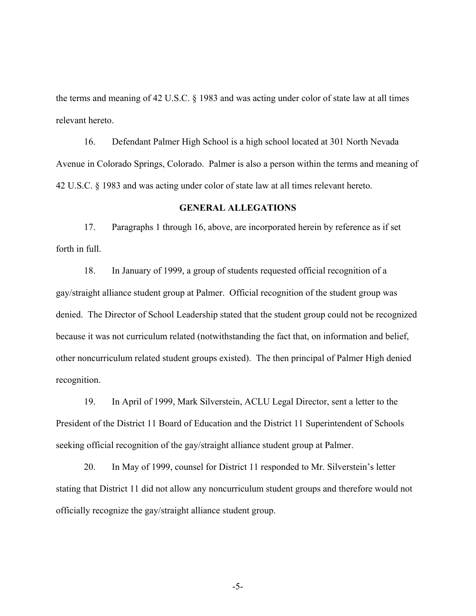the terms and meaning of 42 U.S.C. § 1983 and was acting under color of state law at all times relevant hereto.

16. Defendant Palmer High School is a high school located at 301 North Nevada Avenue in Colorado Springs, Colorado. Palmer is also a person within the terms and meaning of 42 U.S.C. § 1983 and was acting under color of state law at all times relevant hereto.

#### **GENERAL ALLEGATIONS**

17. Paragraphs 1 through 16, above, are incorporated herein by reference as if set forth in full.

18. In January of 1999, a group of students requested official recognition of a gay/straight alliance student group at Palmer. Official recognition of the student group was denied. The Director of School Leadership stated that the student group could not be recognized because it was not curriculum related (notwithstanding the fact that, on information and belief, other noncurriculum related student groups existed). The then principal of Palmer High denied recognition.

19. In April of 1999, Mark Silverstein, ACLU Legal Director, sent a letter to the President of the District 11 Board of Education and the District 11 Superintendent of Schools seeking official recognition of the gay/straight alliance student group at Palmer.

20. In May of 1999, counsel for District 11 responded to Mr. Silverstein's letter stating that District 11 did not allow any noncurriculum student groups and therefore would not officially recognize the gay/straight alliance student group.

-5-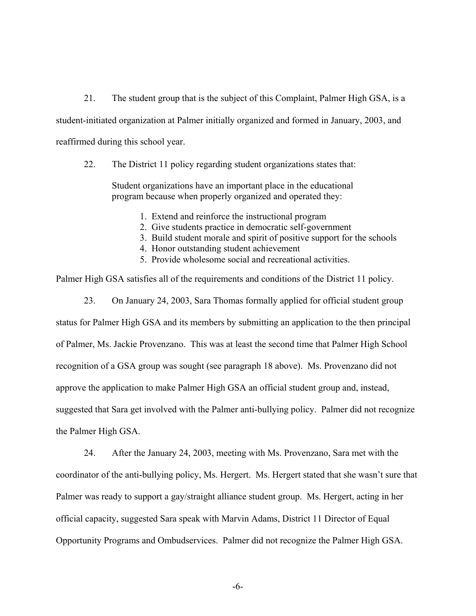21. The student group that is the subject of this Complaint, Palmer High GSA, is a student-initiated organization at Palmer initially organized and formed in January, 2003, and reaffirmed during this school year.

22. The District 11 policy regarding student organizations states that:

Student organizations have an important place in the educational program because when properly organized and operated they:

- 1. Extend and reinforce the instructional program
- 2. Give students practice in democratic self-government
- 3. Build student morale and spirit of positive support for the schools
- 4. Honor outstanding student achievement
- 5. Provide wholesome social and recreational activities.

Palmer High GSA satisfies all of the requirements and conditions of the District 11 policy.

23. On January 24, 2003, Sara Thomas formally applied for official student group status for Palmer High GSA and its members by submitting an application to the then principal of Palmer, Ms. Jackie Provenzano. This was at least the second time that Palmer High School recognition of a GSA group was sought (see paragraph 18 above). Ms. Provenzano did not approve the application to make Palmer High GSA an official student group and, instead, suggested that Sara get involved with the Palmer anti-bullying policy. Palmer did not recognize the Palmer High GSA.

24. After the January 24, 2003, meeting with Ms. Provenzano, Sara met with the coordinator of the anti-bullying policy, Ms. Hergert. Ms. Hergert stated that she wasn't sure that Palmer was ready to support a gay/straight alliance student group. Ms. Hergert, acting in her official capacity, suggested Sara speak with Marvin Adams, District 11 Director of Equal Opportunity Programs and Ombudservices. Palmer did not recognize the Palmer High GSA.

-6-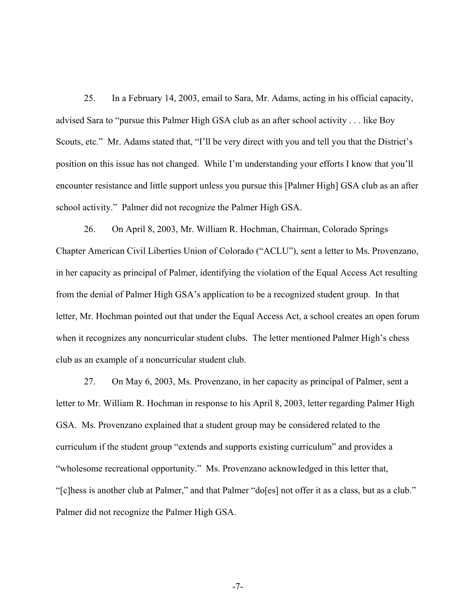25. In a February 14, 2003, email to Sara, Mr. Adams, acting in his official capacity, advised Sara to "pursue this Palmer High GSA club as an after school activity . . . like Boy Scouts, etc." Mr. Adams stated that, "I'll be very direct with you and tell you that the District's position on this issue has not changed. While I'm understanding your efforts I know that you'll encounter resistance and little support unless you pursue this [Palmer High] GSA club as an after school activity." Palmer did not recognize the Palmer High GSA.

26. On April 8, 2003, Mr. William R. Hochman, Chairman, Colorado Springs Chapter American Civil Liberties Union of Colorado ("ACLU"), sent a letter to Ms. Provenzano, in her capacity as principal of Palmer, identifying the violation of the Equal Access Act resulting from the denial of Palmer High GSA's application to be a recognized student group. In that letter, Mr. Hochman pointed out that under the Equal Access Act, a school creates an open forum when it recognizes any noncurricular student clubs. The letter mentioned Palmer High's chess club as an example of a noncurricular student club.

27. On May 6, 2003, Ms. Provenzano, in her capacity as principal of Palmer, sent a letter to Mr. William R. Hochman in response to his April 8, 2003, letter regarding Palmer High GSA. Ms. Provenzano explained that a student group may be considered related to the curriculum if the student group "extends and supports existing curriculum" and provides a "wholesome recreational opportunity." Ms. Provenzano acknowledged in this letter that, "[c]hess is another club at Palmer," and that Palmer "do[es] not offer it as a class, but as a club." Palmer did not recognize the Palmer High GSA.

-7-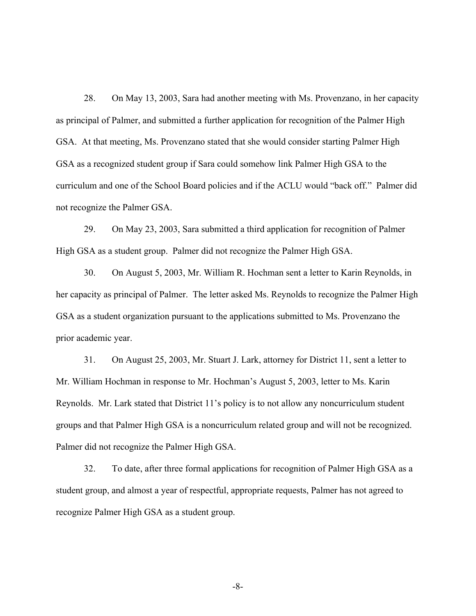28. On May 13, 2003, Sara had another meeting with Ms. Provenzano, in her capacity as principal of Palmer, and submitted a further application for recognition of the Palmer High GSA. At that meeting, Ms. Provenzano stated that she would consider starting Palmer High GSA as a recognized student group if Sara could somehow link Palmer High GSA to the curriculum and one of the School Board policies and if the ACLU would "back off." Palmer did not recognize the Palmer GSA.

29. On May 23, 2003, Sara submitted a third application for recognition of Palmer High GSA as a student group. Palmer did not recognize the Palmer High GSA.

30. On August 5, 2003, Mr. William R. Hochman sent a letter to Karin Reynolds, in her capacity as principal of Palmer. The letter asked Ms. Reynolds to recognize the Palmer High GSA as a student organization pursuant to the applications submitted to Ms. Provenzano the prior academic year.

31. On August 25, 2003, Mr. Stuart J. Lark, attorney for District 11, sent a letter to Mr. William Hochman in response to Mr. Hochman's August 5, 2003, letter to Ms. Karin Reynolds. Mr. Lark stated that District 11's policy is to not allow any noncurriculum student groups and that Palmer High GSA is a noncurriculum related group and will not be recognized. Palmer did not recognize the Palmer High GSA.

32. To date, after three formal applications for recognition of Palmer High GSA as a student group, and almost a year of respectful, appropriate requests, Palmer has not agreed to recognize Palmer High GSA as a student group.

-8-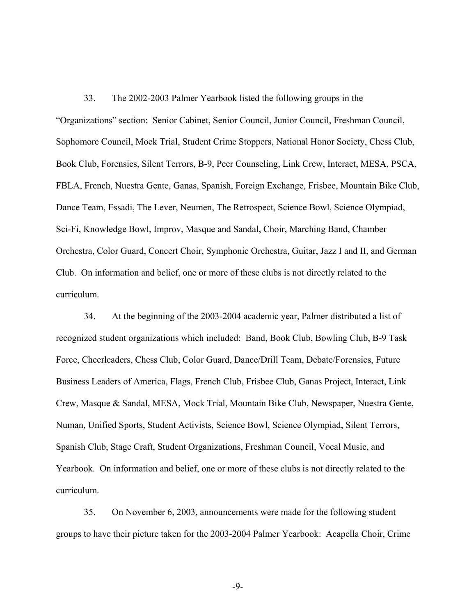33. The 2002-2003 Palmer Yearbook listed the following groups in the "Organizations" section: Senior Cabinet, Senior Council, Junior Council, Freshman Council, Sophomore Council, Mock Trial, Student Crime Stoppers, National Honor Society, Chess Club, Book Club, Forensics, Silent Terrors, B-9, Peer Counseling, Link Crew, Interact, MESA, PSCA, FBLA, French, Nuestra Gente, Ganas, Spanish, Foreign Exchange, Frisbee, Mountain Bike Club, Dance Team, Essadi, The Lever, Neumen, The Retrospect, Science Bowl, Science Olympiad, Sci-Fi, Knowledge Bowl, Improv, Masque and Sandal, Choir, Marching Band, Chamber Orchestra, Color Guard, Concert Choir, Symphonic Orchestra, Guitar, Jazz I and II, and German Club. On information and belief, one or more of these clubs is not directly related to the curriculum.

34. At the beginning of the 2003-2004 academic year, Palmer distributed a list of recognized student organizations which included: Band, Book Club, Bowling Club, B-9 Task Force, Cheerleaders, Chess Club, Color Guard, Dance/Drill Team, Debate/Forensics, Future Business Leaders of America, Flags, French Club, Frisbee Club, Ganas Project, Interact, Link Crew, Masque & Sandal, MESA, Mock Trial, Mountain Bike Club, Newspaper, Nuestra Gente, Numan, Unified Sports, Student Activists, Science Bowl, Science Olympiad, Silent Terrors, Spanish Club, Stage Craft, Student Organizations, Freshman Council, Vocal Music, and Yearbook. On information and belief, one or more of these clubs is not directly related to the curriculum.

35. On November 6, 2003, announcements were made for the following student groups to have their picture taken for the 2003-2004 Palmer Yearbook: Acapella Choir, Crime

-9-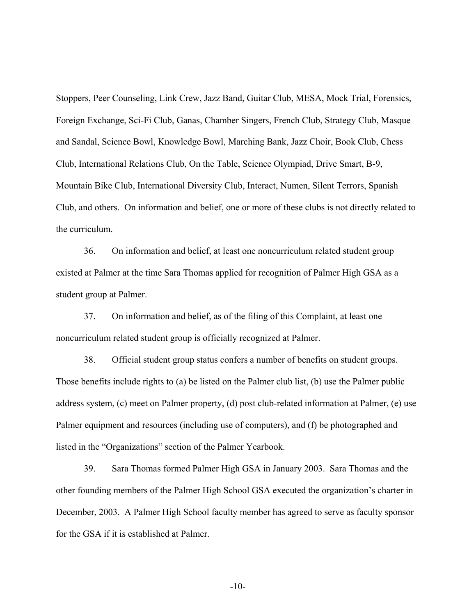Stoppers, Peer Counseling, Link Crew, Jazz Band, Guitar Club, MESA, Mock Trial, Forensics, Foreign Exchange, Sci-Fi Club, Ganas, Chamber Singers, French Club, Strategy Club, Masque and Sandal, Science Bowl, Knowledge Bowl, Marching Bank, Jazz Choir, Book Club, Chess Club, International Relations Club, On the Table, Science Olympiad, Drive Smart, B-9, Mountain Bike Club, International Diversity Club, Interact, Numen, Silent Terrors, Spanish Club, and others. On information and belief, one or more of these clubs is not directly related to the curriculum.

36. On information and belief, at least one noncurriculum related student group existed at Palmer at the time Sara Thomas applied for recognition of Palmer High GSA as a student group at Palmer.

37. On information and belief, as of the filing of this Complaint, at least one noncurriculum related student group is officially recognized at Palmer.

38. Official student group status confers a number of benefits on student groups. Those benefits include rights to (a) be listed on the Palmer club list, (b) use the Palmer public address system, (c) meet on Palmer property, (d) post club-related information at Palmer, (e) use Palmer equipment and resources (including use of computers), and (f) be photographed and listed in the "Organizations" section of the Palmer Yearbook.

39. Sara Thomas formed Palmer High GSA in January 2003. Sara Thomas and the other founding members of the Palmer High School GSA executed the organization's charter in December, 2003. A Palmer High School faculty member has agreed to serve as faculty sponsor for the GSA if it is established at Palmer.

-10-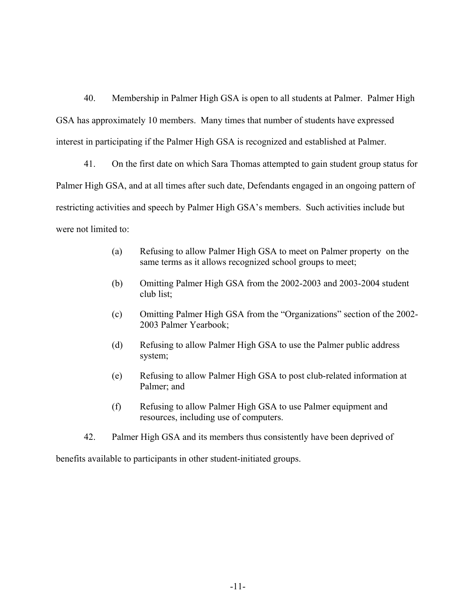40. Membership in Palmer High GSA is open to all students at Palmer. Palmer High GSA has approximately 10 members. Many times that number of students have expressed interest in participating if the Palmer High GSA is recognized and established at Palmer.

41. On the first date on which Sara Thomas attempted to gain student group status for Palmer High GSA, and at all times after such date, Defendants engaged in an ongoing pattern of restricting activities and speech by Palmer High GSA's members. Such activities include but were not limited to:

- (a) Refusing to allow Palmer High GSA to meet on Palmer property on the same terms as it allows recognized school groups to meet;
- (b) Omitting Palmer High GSA from the 2002-2003 and 2003-2004 student club list;
- (c) Omitting Palmer High GSA from the "Organizations" section of the 2002- 2003 Palmer Yearbook;
- (d) Refusing to allow Palmer High GSA to use the Palmer public address system;
- (e) Refusing to allow Palmer High GSA to post club-related information at Palmer; and
- (f) Refusing to allow Palmer High GSA to use Palmer equipment and resources, including use of computers.
- 42. Palmer High GSA and its members thus consistently have been deprived of

benefits available to participants in other student-initiated groups.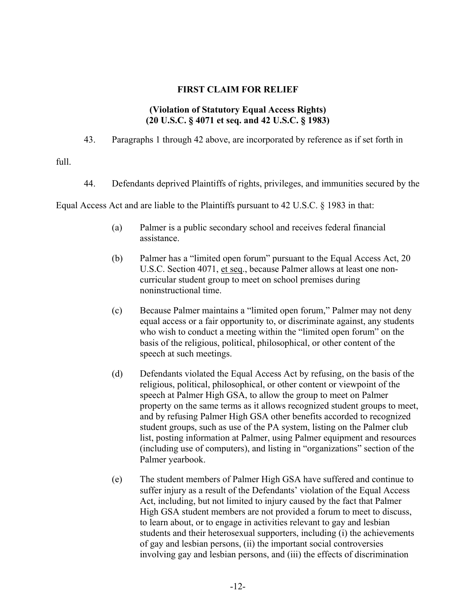### **FIRST CLAIM FOR RELIEF**

### **(Violation of Statutory Equal Access Rights) (20 U.S.C. § 4071 et seq. and 42 U.S.C. § 1983)**

43. Paragraphs 1 through 42 above, are incorporated by reference as if set forth in

full.

44. Defendants deprived Plaintiffs of rights, privileges, and immunities secured by the

Equal Access Act and are liable to the Plaintiffs pursuant to 42 U.S.C. § 1983 in that:

- (a) Palmer is a public secondary school and receives federal financial assistance.
- (b) Palmer has a "limited open forum" pursuant to the Equal Access Act, 20 U.S.C. Section 4071, et seq., because Palmer allows at least one noncurricular student group to meet on school premises during noninstructional time.
- (c) Because Palmer maintains a "limited open forum," Palmer may not deny equal access or a fair opportunity to, or discriminate against, any students who wish to conduct a meeting within the "limited open forum" on the basis of the religious, political, philosophical, or other content of the speech at such meetings.
- (d) Defendants violated the Equal Access Act by refusing, on the basis of the religious, political, philosophical, or other content or viewpoint of the speech at Palmer High GSA, to allow the group to meet on Palmer property on the same terms as it allows recognized student groups to meet, and by refusing Palmer High GSA other benefits accorded to recognized student groups, such as use of the PA system, listing on the Palmer club list, posting information at Palmer, using Palmer equipment and resources (including use of computers), and listing in "organizations" section of the Palmer yearbook.
- (e) The student members of Palmer High GSA have suffered and continue to suffer injury as a result of the Defendants' violation of the Equal Access Act, including, but not limited to injury caused by the fact that Palmer High GSA student members are not provided a forum to meet to discuss, to learn about, or to engage in activities relevant to gay and lesbian students and their heterosexual supporters, including (i) the achievements of gay and lesbian persons, (ii) the important social controversies involving gay and lesbian persons, and (iii) the effects of discrimination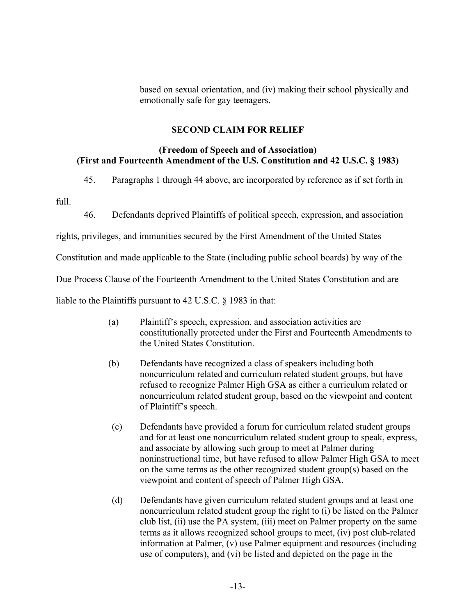based on sexual orientation, and (iv) making their school physically and emotionally safe for gay teenagers.

### **SECOND CLAIM FOR RELIEF**

### **(Freedom of Speech and of Association) (First and Fourteenth Amendment of the U.S. Constitution and 42 U.S.C. § 1983)**

45. Paragraphs 1 through 44 above, are incorporated by reference as if set forth in

full.

46. Defendants deprived Plaintiffs of political speech, expression, and association

rights, privileges, and immunities secured by the First Amendment of the United States

Constitution and made applicable to the State (including public school boards) by way of the

Due Process Clause of the Fourteenth Amendment to the United States Constitution and are

liable to the Plaintiffs pursuant to 42 U.S.C. § 1983 in that:

- (a) Plaintiff's speech, expression, and association activities are constitutionally protected under the First and Fourteenth Amendments to the United States Constitution.
- (b) Defendants have recognized a class of speakers including both noncurriculum related and curriculum related student groups, but have refused to recognize Palmer High GSA as either a curriculum related or noncurriculum related student group, based on the viewpoint and content of Plaintiff's speech.
- (c) Defendants have provided a forum for curriculum related student groups and for at least one noncurriculum related student group to speak, express, and associate by allowing such group to meet at Palmer during noninstructional time, but have refused to allow Palmer High GSA to meet on the same terms as the other recognized student group(s) based on the viewpoint and content of speech of Palmer High GSA.
- (d) Defendants have given curriculum related student groups and at least one noncurriculum related student group the right to (i) be listed on the Palmer club list, (ii) use the PA system, (iii) meet on Palmer property on the same terms as it allows recognized school groups to meet, (iv) post club-related information at Palmer, (v) use Palmer equipment and resources (including use of computers), and (vi) be listed and depicted on the page in the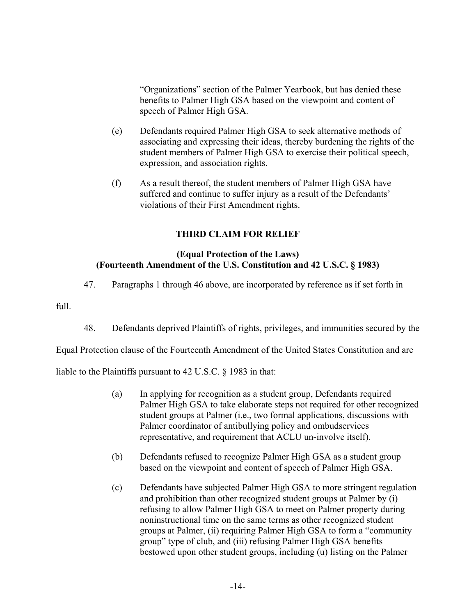"Organizations" section of the Palmer Yearbook, but has denied these benefits to Palmer High GSA based on the viewpoint and content of speech of Palmer High GSA.

- (e) Defendants required Palmer High GSA to seek alternative methods of associating and expressing their ideas, thereby burdening the rights of the student members of Palmer High GSA to exercise their political speech, expression, and association rights.
- (f) As a result thereof, the student members of Palmer High GSA have suffered and continue to suffer injury as a result of the Defendants' violations of their First Amendment rights.

# **THIRD CLAIM FOR RELIEF**

## **(Equal Protection of the Laws) (Fourteenth Amendment of the U.S. Constitution and 42 U.S.C. § 1983)**

47. Paragraphs 1 through 46 above, are incorporated by reference as if set forth in

 $f_{11}$ 

48. Defendants deprived Plaintiffs of rights, privileges, and immunities secured by the

Equal Protection clause of the Fourteenth Amendment of the United States Constitution and are

liable to the Plaintiffs pursuant to 42 U.S.C. § 1983 in that:

- (a) In applying for recognition as a student group, Defendants required Palmer High GSA to take elaborate steps not required for other recognized student groups at Palmer (i.e., two formal applications, discussions with Palmer coordinator of antibullying policy and ombudservices representative, and requirement that ACLU un-involve itself).
- (b) Defendants refused to recognize Palmer High GSA as a student group based on the viewpoint and content of speech of Palmer High GSA.
- (c) Defendants have subjected Palmer High GSA to more stringent regulation and prohibition than other recognized student groups at Palmer by (i) refusing to allow Palmer High GSA to meet on Palmer property during noninstructional time on the same terms as other recognized student groups at Palmer, (ii) requiring Palmer High GSA to form a "community group" type of club, and (iii) refusing Palmer High GSA benefits bestowed upon other student groups, including (u) listing on the Palmer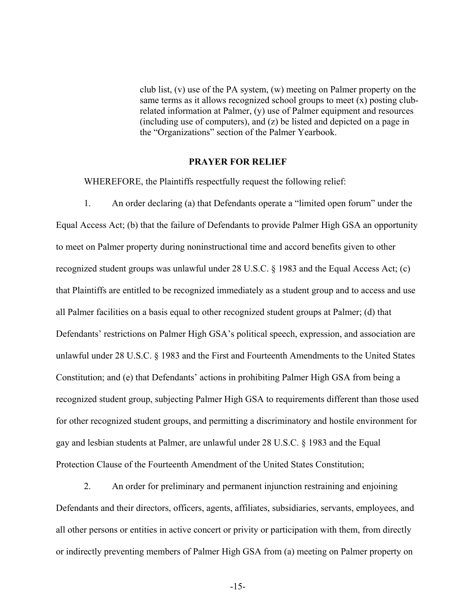club list, (v) use of the PA system, (w) meeting on Palmer property on the same terms as it allows recognized school groups to meet (x) posting clubrelated information at Palmer, (y) use of Palmer equipment and resources (including use of computers), and (z) be listed and depicted on a page in the "Organizations" section of the Palmer Yearbook.

#### **PRAYER FOR RELIEF**

WHEREFORE, the Plaintiffs respectfully request the following relief:

1. An order declaring (a) that Defendants operate a "limited open forum" under the Equal Access Act; (b) that the failure of Defendants to provide Palmer High GSA an opportunity to meet on Palmer property during noninstructional time and accord benefits given to other recognized student groups was unlawful under 28 U.S.C. § 1983 and the Equal Access Act; (c) that Plaintiffs are entitled to be recognized immediately as a student group and to access and use all Palmer facilities on a basis equal to other recognized student groups at Palmer; (d) that Defendants' restrictions on Palmer High GSA's political speech, expression, and association are unlawful under 28 U.S.C. § 1983 and the First and Fourteenth Amendments to the United States Constitution; and (e) that Defendants' actions in prohibiting Palmer High GSA from being a recognized student group, subjecting Palmer High GSA to requirements different than those used for other recognized student groups, and permitting a discriminatory and hostile environment for gay and lesbian students at Palmer, are unlawful under 28 U.S.C. § 1983 and the Equal Protection Clause of the Fourteenth Amendment of the United States Constitution;

2. An order for preliminary and permanent injunction restraining and enjoining Defendants and their directors, officers, agents, affiliates, subsidiaries, servants, employees, and all other persons or entities in active concert or privity or participation with them, from directly or indirectly preventing members of Palmer High GSA from (a) meeting on Palmer property on

-15-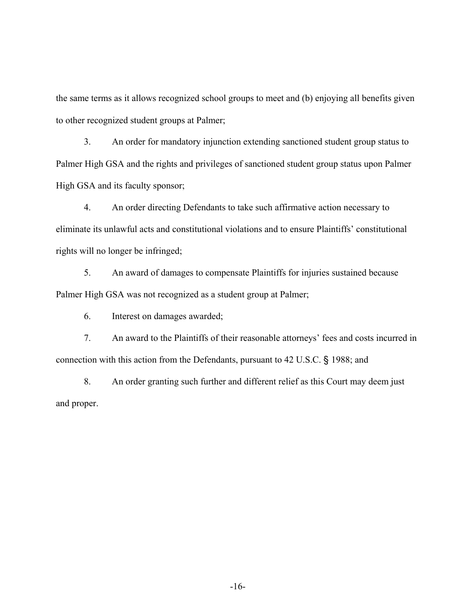the same terms as it allows recognized school groups to meet and (b) enjoying all benefits given to other recognized student groups at Palmer;

3. An order for mandatory injunction extending sanctioned student group status to Palmer High GSA and the rights and privileges of sanctioned student group status upon Palmer High GSA and its faculty sponsor;

4. An order directing Defendants to take such affirmative action necessary to eliminate its unlawful acts and constitutional violations and to ensure Plaintiffs' constitutional rights will no longer be infringed;

5. An award of damages to compensate Plaintiffs for injuries sustained because Palmer High GSA was not recognized as a student group at Palmer;

6. Interest on damages awarded;

7. An award to the Plaintiffs of their reasonable attorneys' fees and costs incurred in connection with this action from the Defendants, pursuant to 42 U.S.C. § 1988; and

8. An order granting such further and different relief as this Court may deem just and proper.

-16-